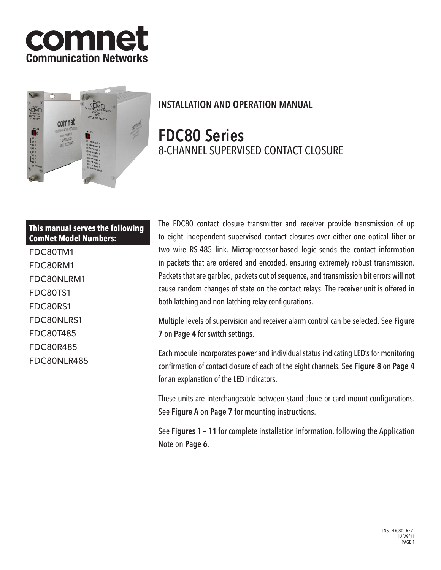



# INSTALLATION AND OPERATION MANUAL

# FDC80 Series 8-CHANNEL SUPERVISED CONTACT CLOSURE

# **This manual serves the following ComNet Model Numbers:**

FDC80TM1 FDC80RM1 FDC80NLRM1 FDC80TS1 FDC80RS1 FDC80NLRS1 FDC80T485 FDC80R485 FDC80NLR485 The FDC80 contact closure transmitter and receiver provide transmission of up to eight independent supervised contact closures over either one optical fiber or two wire RS-485 link. Microprocessor-based logic sends the contact information in packets that are ordered and encoded, ensuring extremely robust transmission. Packets that are garbled, packets out of sequence, and transmission bit errors will not cause random changes of state on the contact relays. The receiver unit is offered in both latching and non-latching relay configurations.

Multiple levels of supervision and receiver alarm control can be selected. See Figure 7 on Page 4 for switch settings.

Each module incorporates power and individual status indicating LED's for monitoring confirmation of contact closure of each of the eight channels. See Figure 8 on Page 4 for an explanation of the LED indicators.

These units are interchangeable between stand-alone or card mount configurations. See Figure A on Page 7 for mounting instructions.

See Figures 1 – 11 for complete installation information, following the Application Note on Page 6.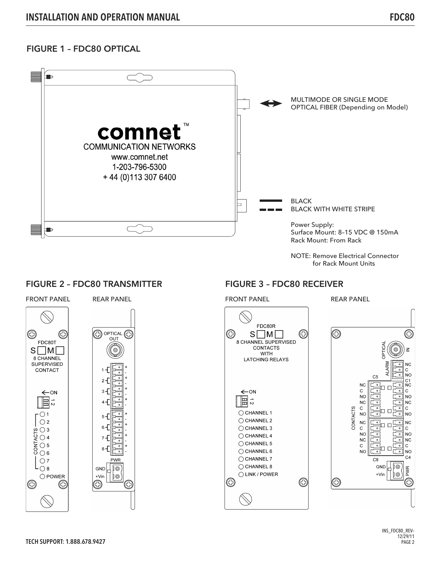# FIGURE 1 – FDC80 OPTICAL



NOTE: Remove Electrical Connector for Rack Mount Units

## FIGURE 2 - FDC80 TRANSMITTER FIGURE 3 - FDC80 RECEIVER



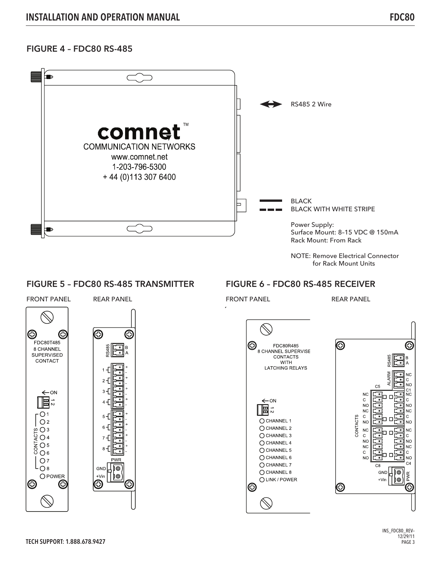# FIGURE 4 – FDC80 RS-485



## FIGURE 5 – FDC80 RS-485 TRANSMITTER FIGURE 6 – FDC80 RS-485 RECEIVER



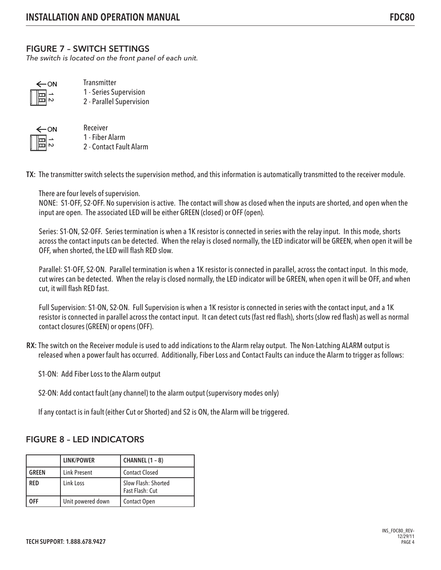# FIGURE 7 – SWITCH SETTINGS

The switch is located on the front panel of each unit.

| ON |                      |  |  |
|----|----------------------|--|--|
|    | $\frac{1}{\sqrt{2}}$ |  |  |

**Transmitter** 1 - Series Supervision 2 - Parallel Supervision



- Receiver 1 - Fiber Alarm
- 2 Contact Fault Alarm

TX: The transmitter switch selects the supervision method, and this information is automatically transmitted to the receiver module.

There are four levels of supervision.

NONE: S1-OFF, S2-OFF. No supervision is active. The contact will show as closed when the inputs are shorted, and open when the input are open. The associated LED will be either GREEN (closed) or OFF (open).

Series: S1-ON, S2-OFF. Series termination is when a 1K resistor is connected in series with the relay input. In this mode, shorts across the contact inputs can be detected. When the relay is closed normally, the LED indicator will be GREEN, when open it will be OFF, when shorted, the LED will flash RED slow.

Parallel: S1-OFF, S2-ON. Parallel termination is when a 1K resistor is connected in parallel, across the contact input. In this mode, cut wires can be detected. When the relay is closed normally, the LED indicator will be GREEN, when open it will be OFF, and when cut, it will flash RED fast.

Full Supervision: S1-ON, S2-ON. Full Supervision is when a 1K resistor is connected in series with the contact input, and a 1K resistor is connected in parallel across the contact input. It can detect cuts (fast red flash), shorts (slow red flash) as well as normal contact closures (GREEN) or opens (OFF).

RX: The switch on the Receiver module is used to add indications to the Alarm relay output. The Non-Latching ALARM output is released when a power fault has occurred. Additionally, Fiber Loss and Contact Faults can induce the Alarm to trigger as follows:

S1-ON: Add Fiber Loss to the Alarm output

S2-ON: Add contact fault (any channel) to the alarm output (supervisory modes only)

If any contact is in fault (either Cut or Shorted) and S2 is ON, the Alarm will be triggered.

# FIGURE 8 – LED INDICATORS

|              | <b>LINK/POWER</b>   | <b>CHANNEL (1 - 8)</b>                 |
|--------------|---------------------|----------------------------------------|
| <b>GREEN</b> | <b>Link Present</b> | <b>Contact Closed</b>                  |
| <b>RED</b>   | Link Loss           | Slow Flash: Shorted<br>Fast Flash: Cut |
| )FF          | Unit powered down   | <b>Contact Open</b>                    |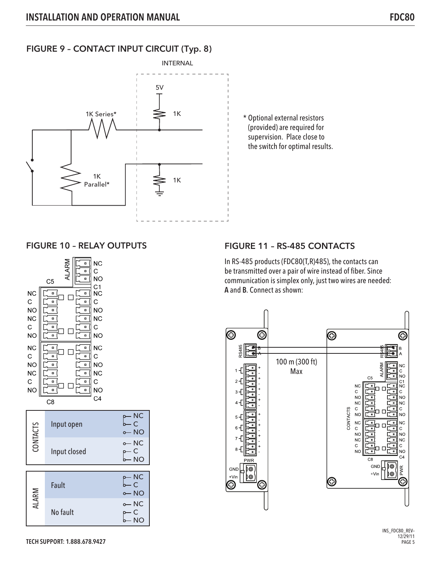# FIGURE 9 – CONTACT INPUT CIRCUIT (Typ. 8)



\* Optional external resistors (provided) are required for supervision. Place close to the switch for optimal results.



# FIGURE 10 - RELAY OUTPUTS FIGURE 11 - RS-485 CONTACTS

In RS-485 products (FDC80(T,R)485), the contacts can be transmitted over a pair of wire instead of fiber. Since communication is simplex only, just two wires are needed: A and B. Connect as shown:



INS\_FDC80\_REV– 12/29/11 PAGE 5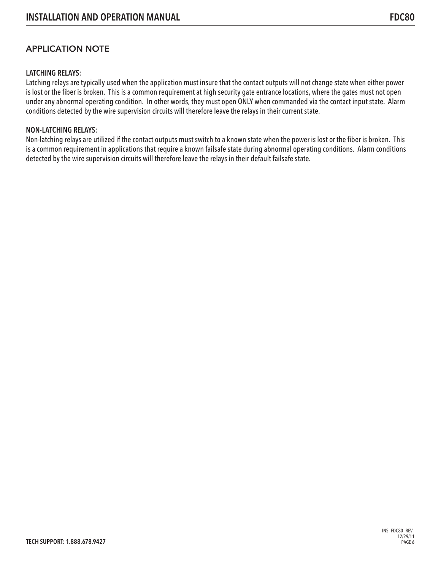# APPLICATION NOTE

## LATCHING RELAYS:

Latching relays are typically used when the application must insure that the contact outputs will not change state when either power is lost or the fiber is broken. This is a common requirement at high security gate entrance locations, where the gates must not open under any abnormal operating condition. In other words, they must open ONLY when commanded via the contact input state. Alarm conditions detected by the wire supervision circuits will therefore leave the relays in their current state.

### NON-LATCHING RELAYS:

Non-latching relays are utilized if the contact outputs must switch to a known state when the power is lost or the fiber is broken. This is a common requirement in applications that require a known failsafe state during abnormal operating conditions. Alarm conditions detected by the wire supervision circuits will therefore leave the relays in their default failsafe state.